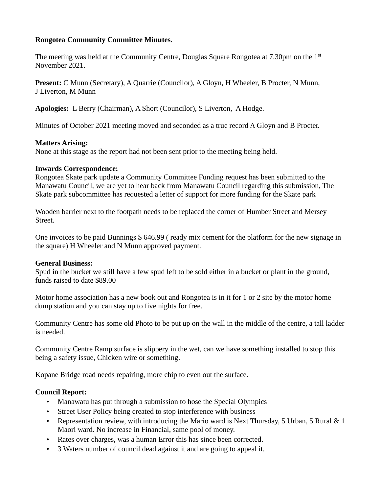# **Rongotea Community Committee Minutes.**

The meeting was held at the Community Centre, Douglas Square Rongotea at 7.30pm on the 1<sup>st</sup> November 2021.

**Present:** C Munn (Secretary), A Quarrie (Councilor), A Gloyn, H Wheeler, B Procter, N Munn, J Liverton, M Munn

**Apologies:** L Berry (Chairman), A Short (Councilor), S Liverton, A Hodge.

Minutes of October 2021 meeting moved and seconded as a true record A Gloyn and B Procter.

### **Matters Arising:**

None at this stage as the report had not been sent prior to the meeting being held.

#### **Inwards Correspondence:**

Rongotea Skate park update a Community Committee Funding request has been submitted to the Manawatu Council, we are yet to hear back from Manawatu Council regarding this submission, The Skate park subcommittee has requested a letter of support for more funding for the Skate park

Wooden barrier next to the footpath needs to be replaced the corner of Humber Street and Mersey Street.

One invoices to be paid Bunnings \$ 646.99 ( ready mix cement for the platform for the new signage in the square) H Wheeler and N Munn approved payment.

#### **General Business:**

Spud in the bucket we still have a few spud left to be sold either in a bucket or plant in the ground, funds raised to date \$89.00

Motor home association has a new book out and Rongotea is in it for 1 or 2 site by the motor home dump station and you can stay up to five nights for free.

Community Centre has some old Photo to be put up on the wall in the middle of the centre, a tall ladder is needed.

Community Centre Ramp surface is slippery in the wet, can we have something installed to stop this being a safety issue, Chicken wire or something.

Kopane Bridge road needs repairing, more chip to even out the surface.

# **Council Report:**

- Manawatu has put through a submission to hose the Special Olympics
- Street User Policy being created to stop interference with business
- Representation review, with introducing the Mario ward is Next Thursday, 5 Urban, 5 Rural & 1 Maori ward. No increase in Financial, same pool of money.
- Rates over charges, was a human Error this has since been corrected.
- 3 Waters number of council dead against it and are going to appeal it.